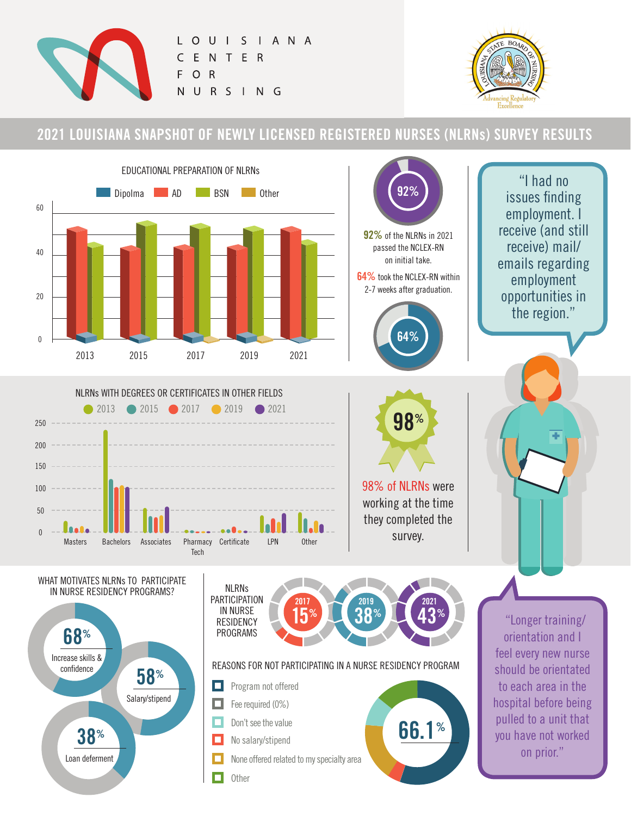

O U I S I A N A  $\mathsf{C}$ E  $\mathsf{N}$ T E R F  $\mathsf{R}$  $\circ$  $\mathsf{N}$ URSING



## **2021 LOUISIANA SNAPSHOT OF NEWLY LICENSED REGISTERED NURSES (NLRNs) SURVEY RESULTS**